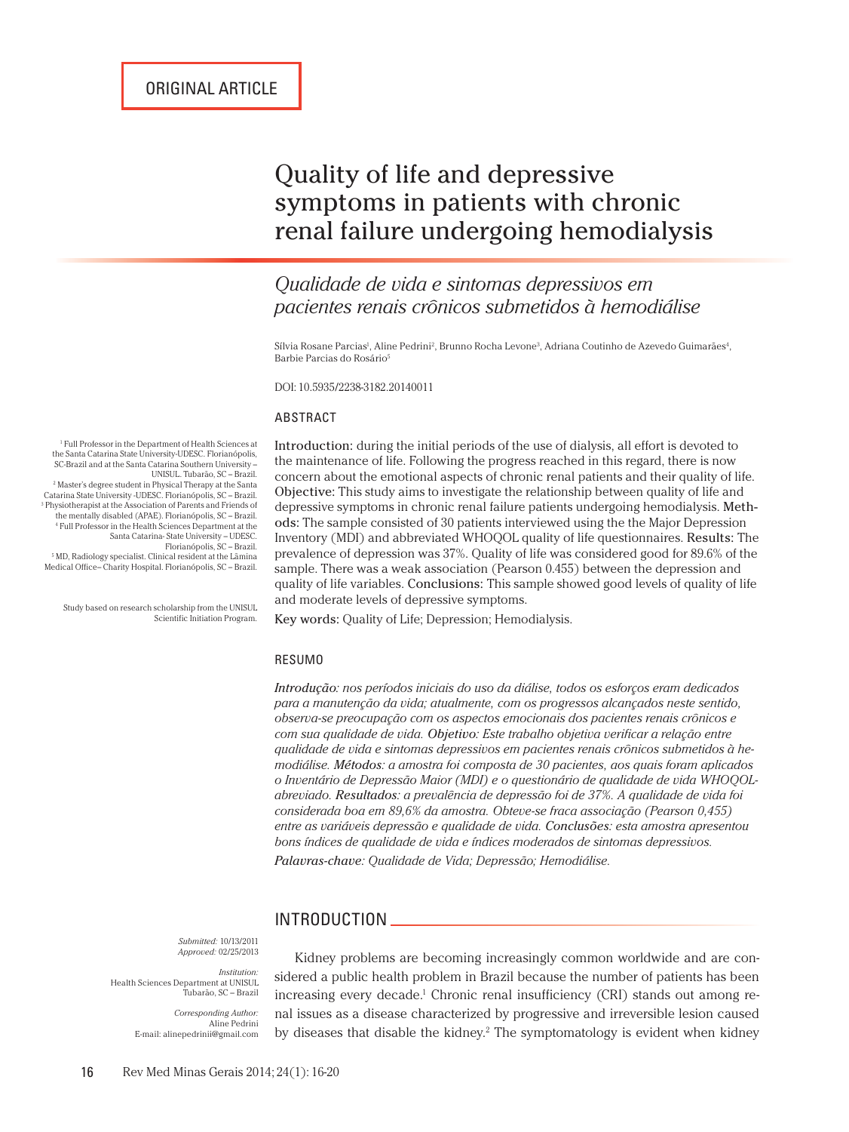# Quality of life and depressive symptoms in patients with chronic renal failure undergoing hemodialysis

# *Qualidade de vida e sintomas depressivos em pacientes renais crônicos submetidos à hemodiálise*

Sílvia Rosane Parcias<sup>ı</sup>, Aline Pedrini<sup>2</sup>, Brunno Rocha Levone<sup>3</sup>, Adriana Coutinho de Azevedo Guimarães<sup>4</sup>, Barbie Parcias do Rosário5

DOI: 10.5935/2238-3182.20140011

#### ABSTRACT

Introduction: during the initial periods of the use of dialysis, all effort is devoted to the maintenance of life. Following the progress reached in this regard, there is now concern about the emotional aspects of chronic renal patients and their quality of life. Objective: This study aims to investigate the relationship between quality of life and depressive symptoms in chronic renal failure patients undergoing hemodialysis. Methods: The sample consisted of 30 patients interviewed using the the Major Depression Inventory (MDI) and abbreviated WHOQOL quality of life questionnaires. Results: The prevalence of depression was 37%. Quality of life was considered good for 89.6% of the sample. There was a weak association (Pearson 0.455) between the depression and quality of life variables. Conclusions: This sample showed good levels of quality of life and moderate levels of depressive symptoms.

1 Full Professor in the Department of Health Sciences at the Santa Catarina State University-UDESC. Florianópolis, SC-Brazil and at the Santa Catarina Southern University –<br>UNISUL. Tubarão, SC – Brazil. UNISUL. Tubarão, SC – Brazil. 2 Master's degree student in Physical Therapy at the Santa Catarina State University -UDESC. Florianópolis, SC – Brazil. 3 Physiotherapist at the Association of Parents and Friends of the mentally disabled (APAE). Florianópolis, SC – Brazil. 4 Full Professor in the Health Sciences Department at the

Santa Catarina- State University – UDESC. Florianópolis, SC – Brazil. 5 MD, Radiology specialist. Clinical resident at the Lâmina Medical Office– Charity Hospital. Florianópolis, SC – Brazil.

Study based on research scholarship from the UNISUL Scientific Initiation Program.

Key words: Quality of Life; Depression; Hemodialysis.

#### RESUMO

*Introdução: nos períodos iniciais do uso da diálise, todos os esforços eram dedicados para a manutenção da vida; atualmente, com os progressos alcançados neste sentido, observa-se preocupação com os aspectos emocionais dos pacientes renais crônicos e com sua qualidade de vida. Objetivo: Este trabalho objetiva verificar a relação entre qualidade de vida e sintomas depressivos em pacientes renais crônicos submetidos à hemodiálise. Métodos: a amostra foi composta de 30 pacientes, aos quais foram aplicados o Inventário de Depressão Maior (MDI) e o questionário de qualidade de vida WHOQOLabreviado. Resultados: a prevalência de depressão foi de 37%. A qualidade de vida foi considerada boa em 89,6% da amostra. Obteve-se fraca associação (Pearson 0,455) entre as variáveis depressão e qualidade de vida. Conclusões: esta amostra apresentou bons índices de qualidade de vida e índices moderados de sintomas depressivos. Palavras-chave: Qualidade de Vida; Depressão; Hemodiálise.*

#### INTRODUCTION

*Submitted:* 10/13/2011 *Approved:* 02/25/2013

*Institution:* Health Sciences Department at UNISUL Tubarão, SC – Brazil

> *Corresponding Author:* Aline Pedrini E-mail: alinepedrinii@gmail.com

Kidney problems are becoming increasingly common worldwide and are considered a public health problem in Brazil because the number of patients has been increasing every decade.<sup>1</sup> Chronic renal insufficiency (CRI) stands out among renal issues as a disease characterized by progressive and irreversible lesion caused by diseases that disable the kidney.<sup>2</sup> The symptomatology is evident when kidney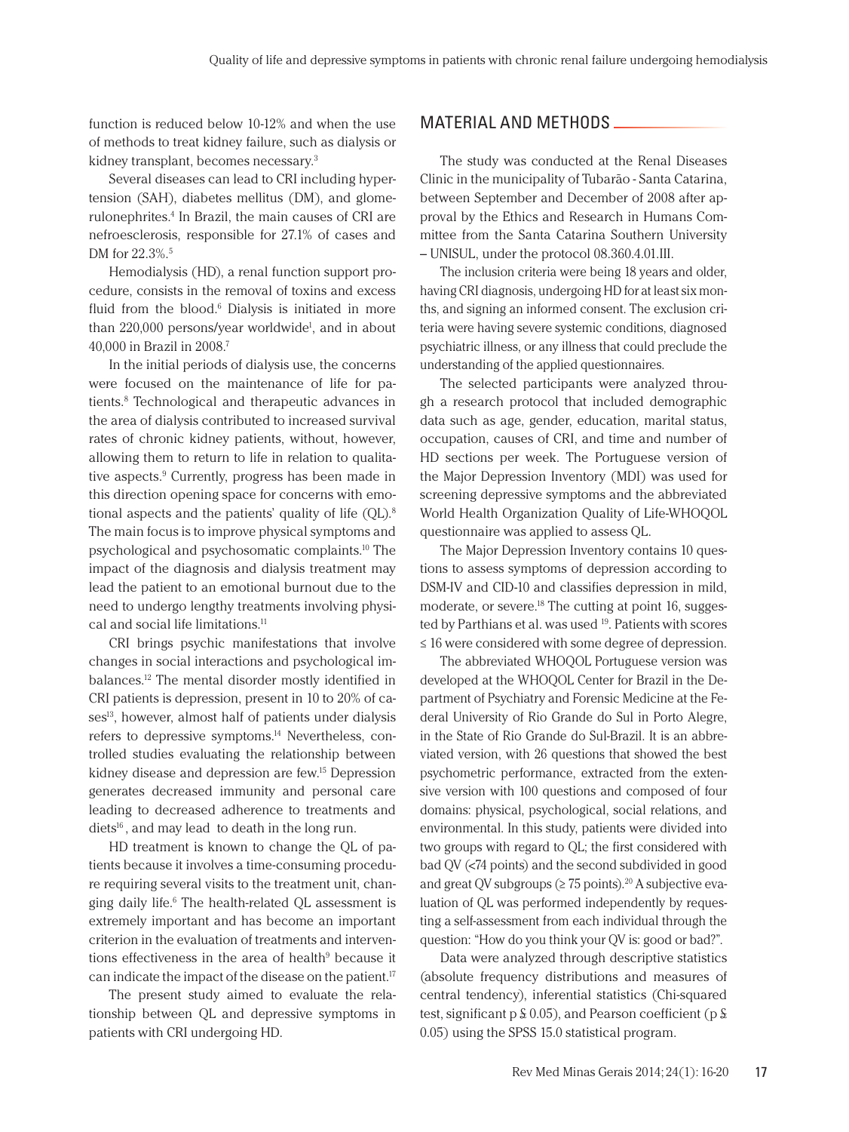function is reduced below 10-12% and when the use of methods to treat kidney failure, such as dialysis or kidney transplant, becomes necessary.3

Several diseases can lead to CRI including hypertension (SAH), diabetes mellitus (DM), and glomerulonephrites.4 In Brazil, the main causes of CRI are nefroesclerosis, responsible for 27.1% of cases and DM for 22.3%.<sup>5</sup>

Hemodialysis (HD), a renal function support procedure, consists in the removal of toxins and excess fluid from the blood.<sup>6</sup> Dialysis is initiated in more than 220,000 persons/year worldwide<sup>1</sup>, and in about 40,000 in Brazil in 2008.7

In the initial periods of dialysis use, the concerns were focused on the maintenance of life for patients.8 Technological and therapeutic advances in the area of dialysis contributed to increased survival rates of chronic kidney patients, without, however, allowing them to return to life in relation to qualitative aspects.<sup>9</sup> Currently, progress has been made in this direction opening space for concerns with emotional aspects and the patients' quality of life (QL).8 The main focus is to improve physical symptoms and psychological and psychosomatic complaints.10 The impact of the diagnosis and dialysis treatment may lead the patient to an emotional burnout due to the need to undergo lengthy treatments involving physical and social life limitations.<sup>11</sup>

CRI brings psychic manifestations that involve changes in social interactions and psychological imbalances.12 The mental disorder mostly identified in CRI patients is depression, present in 10 to 20% of cases<sup>13</sup>, however, almost half of patients under dialysis refers to depressive symptoms.14 Nevertheless, controlled studies evaluating the relationship between kidney disease and depression are few.15 Depression generates decreased immunity and personal care leading to decreased adherence to treatments and  $diets<sup>16</sup>$ , and may lead to death in the long run.

HD treatment is known to change the QL of patients because it involves a time-consuming procedure requiring several visits to the treatment unit, changing daily life.6 The health-related QL assessment is extremely important and has become an important criterion in the evaluation of treatments and interventions effectiveness in the area of health<sup>9</sup> because it can indicate the impact of the disease on the patient.17

The present study aimed to evaluate the relationship between QL and depressive symptoms in patients with CRI undergoing HD.

### MATERIAL AND METHODS

The study was conducted at the Renal Diseases Clinic in the municipality of Tubarão - Santa Catarina, between September and December of 2008 after approval by the Ethics and Research in Humans Committee from the Santa Catarina Southern University – UNISUL, under the protocol 08.360.4.01.III.

The inclusion criteria were being 18 years and older, having CRI diagnosis, undergoing HD for at least six months, and signing an informed consent. The exclusion criteria were having severe systemic conditions, diagnosed psychiatric illness, or any illness that could preclude the understanding of the applied questionnaires.

The selected participants were analyzed through a research protocol that included demographic data such as age, gender, education, marital status, occupation, causes of CRI, and time and number of HD sections per week. The Portuguese version of the Major Depression Inventory (MDI) was used for screening depressive symptoms and the abbreviated World Health Organization Quality of Life-WHOQOL questionnaire was applied to assess QL.

The Major Depression Inventory contains 10 questions to assess symptoms of depression according to DSM-IV and CID-10 and classifies depression in mild, moderate, or severe.<sup>18</sup> The cutting at point 16, suggested by Parthians et al. was used <sup>19</sup>. Patients with scores ≤ 16 were considered with some degree of depression.

The abbreviated WHOQOL Portuguese version was developed at the WHOQOL Center for Brazil in the Department of Psychiatry and Forensic Medicine at the Federal University of Rio Grande do Sul in Porto Alegre, in the State of Rio Grande do Sul-Brazil. It is an abbreviated version, with 26 questions that showed the best psychometric performance, extracted from the extensive version with 100 questions and composed of four domains: physical, psychological, social relations, and environmental. In this study, patients were divided into two groups with regard to QL; the first considered with bad QV (<74 points) and the second subdivided in good and great QV subgroups ( $\geq$  75 points).<sup>20</sup> A subjective evaluation of QL was performed independently by requesting a self-assessment from each individual through the question: "How do you think your QV is: good or bad?".

Data were analyzed through descriptive statistics (absolute frequency distributions and measures of central tendency), inferential statistics (Chi-squared test, significant  $p \nleq 0.05$ ), and Pearson coefficient ( $p \nleq 1$ 0.05) using the SPSS 15.0 statistical program.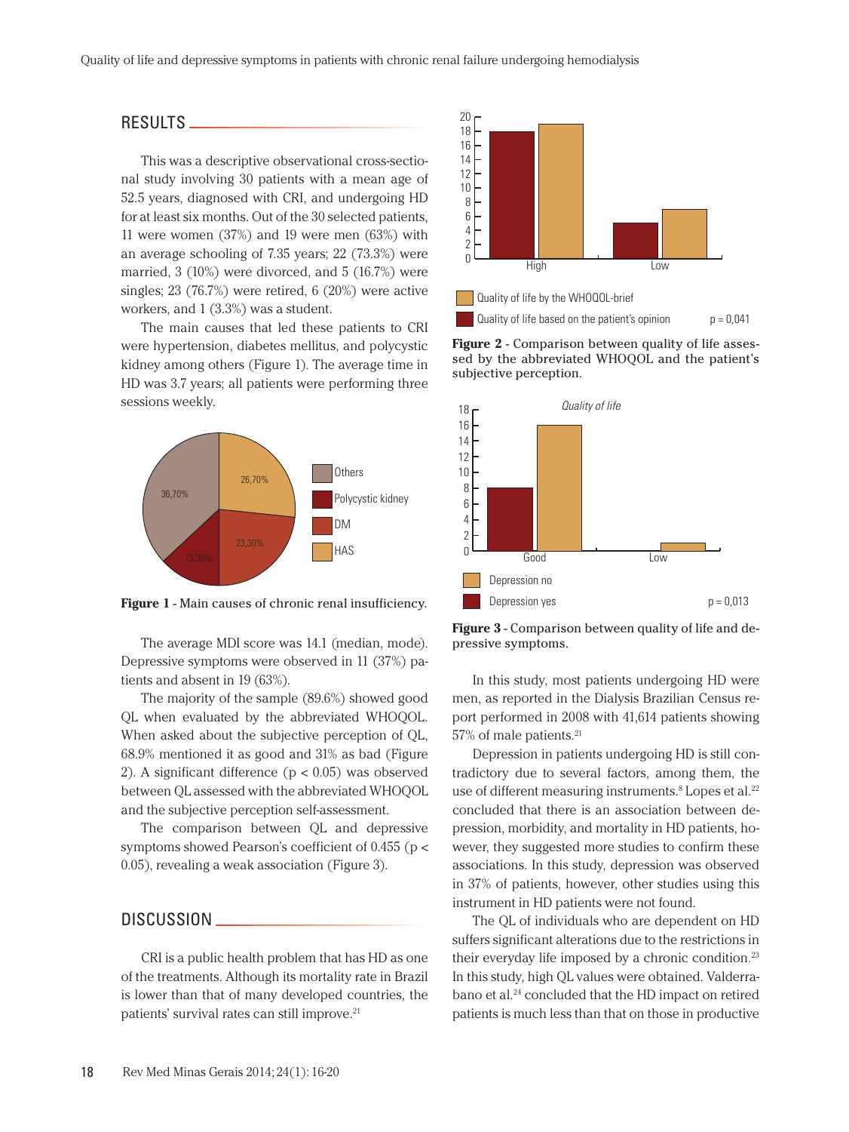#### RESULTS

This was a descriptive observational cross-sectional study involving 30 patients with a mean age of 52.5 years, diagnosed with CRI, and undergoing HD for at least six months. Out of the 30 selected patients, 11 were women (37%) and 19 were men (63%) with an average schooling of 7.35 years; 22 (73.3%) were married, 3 (10%) were divorced, and 5 (16.7%) were singles; 23 (76.7%) were retired, 6 (20%) were active workers, and 1 (3.3%) was a student.

The main causes that led these patients to CRI were hypertension, diabetes mellitus, and polycystic kidney among others (Figure 1). The average time in HD was 3.7 years; all patients were performing three sessions weekly.



**Figure 1** - Main causes of chronic renal insufficiency.

The average MDI score was 14.1 (median, mode). Depressive symptoms were observed in 11 (37%) patients and absent in 19 (63%).

The majority of the sample (89.6%) showed good QL when evaluated by the abbreviated WHOQOL. When asked about the subjective perception of QL, 68.9% mentioned it as good and 31% as bad (Figure 2). A significant difference  $(p < 0.05)$  was observed between QL assessed with the abbreviated WHOQOL and the subjective perception self-assessment.

The comparison between QL and depressive symptoms showed Pearson's coefficient of 0.455 (p < 0.05), revealing a weak association (Figure 3).

#### DISCUSSION \_

CRI is a public health problem that has HD as one of the treatments. Although its mortality rate in Brazil is lower than that of many developed countries, the patients' survival rates can still improve.<sup>21</sup>



**Figure 2** - Comparison between quality of life assessed by the abbreviated WHOQOL and the patient's subjective perception.



**Figure 3** - Comparison between quality of life and depressive symptoms.

In this study, most patients undergoing HD were men, as reported in the Dialysis Brazilian Census report performed in 2008 with 41,614 patients showing 57% of male patients.<sup>21</sup>

Depression in patients undergoing HD is still contradictory due to several factors, among them, the use of different measuring instruments.<sup>8</sup> Lopes et al.<sup>22</sup> concluded that there is an association between depression, morbidity, and mortality in HD patients, however, they suggested more studies to confirm these associations. In this study, depression was observed in 37% of patients, however, other studies using this instrument in HD patients were not found.

The QL of individuals who are dependent on HD suffers significant alterations due to the restrictions in their everyday life imposed by a chronic condition.<sup>23</sup> In this study, high QL values were obtained. Valderrabano et al.<sup>24</sup> concluded that the HD impact on retired patients is much less than that on those in productive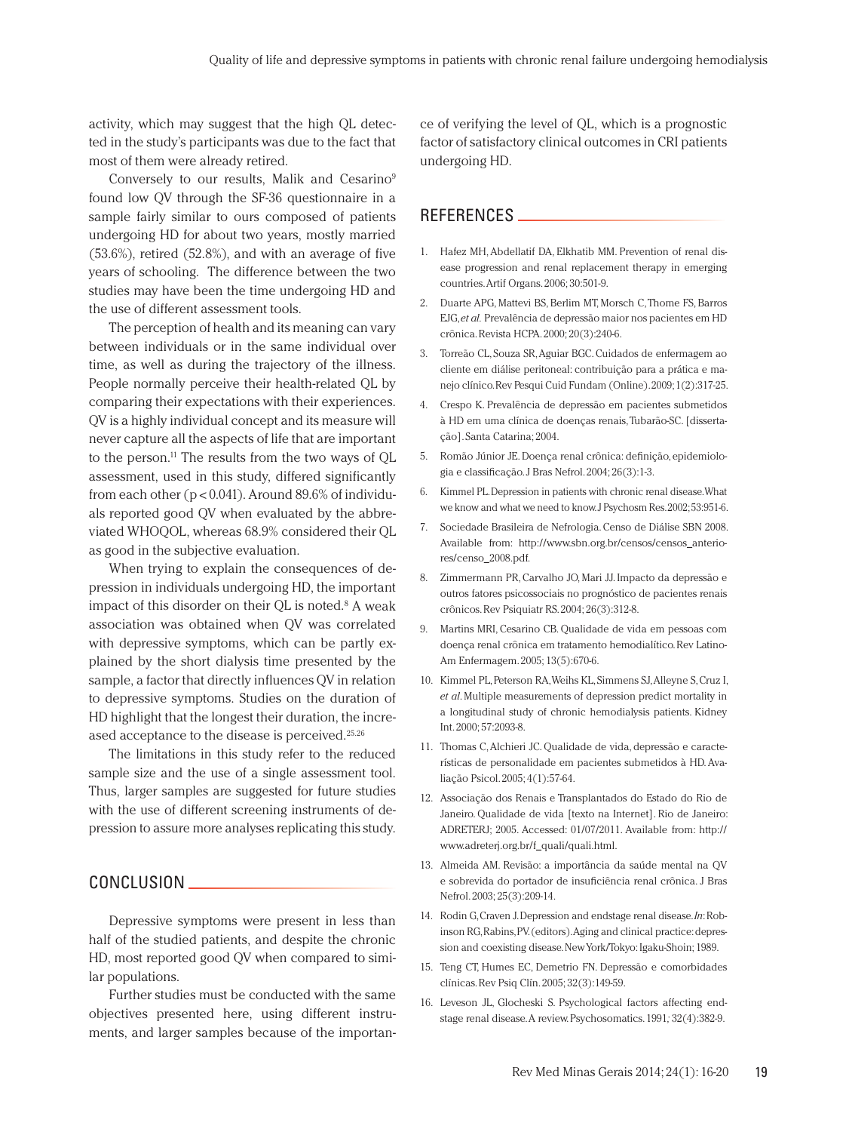activity, which may suggest that the high QL detected in the study's participants was due to the fact that most of them were already retired.

Conversely to our results, Malik and Cesarino<sup>9</sup> found low QV through the SF-36 questionnaire in a sample fairly similar to ours composed of patients undergoing HD for about two years, mostly married (53.6%), retired (52.8%), and with an average of five years of schooling. The difference between the two studies may have been the time undergoing HD and the use of different assessment tools.

The perception of health and its meaning can vary between individuals or in the same individual over time, as well as during the trajectory of the illness. People normally perceive their health-related QL by comparing their expectations with their experiences. QV is a highly individual concept and its measure will never capture all the aspects of life that are important to the person.11 The results from the two ways of QL assessment, used in this study, differed significantly from each other ( $p < 0.041$ ). Around 89.6% of individuals reported good QV when evaluated by the abbreviated WHOQOL, whereas 68.9% considered their QL as good in the subjective evaluation.

When trying to explain the consequences of depression in individuals undergoing HD, the important impact of this disorder on their QL is noted.<sup>8</sup> A weak association was obtained when QV was correlated with depressive symptoms, which can be partly explained by the short dialysis time presented by the sample, a factor that directly influences QV in relation to depressive symptoms. Studies on the duration of HD highlight that the longest their duration, the increased acceptance to the disease is perceived.25.26

The limitations in this study refer to the reduced sample size and the use of a single assessment tool. Thus, larger samples are suggested for future studies with the use of different screening instruments of depression to assure more analyses replicating this study.

## CONCLUSION

Depressive symptoms were present in less than half of the studied patients, and despite the chronic HD, most reported good QV when compared to similar populations.

Further studies must be conducted with the same objectives presented here, using different instruments, and larger samples because of the importance of verifying the level of QL, which is a prognostic factor of satisfactory clinical outcomes in CRI patients undergoing HD.

### REFERENCES

- 1. Hafez MH, Abdellatif DA, Elkhatib MM. Prevention of renal disease progression and renal replacement therapy in emerging countries. Artif Organs. 2006; 30:501-9.
- 2. Duarte APG, Mattevi BS, Berlim MT, Morsch C, Thome FS, Barros EJG, *et al.* Prevalência de depressão maior nos pacientes em HD crônica. Revista HCPA. 2000; 20(3):240-6.
- 3. Torreão CL, Souza SR, Aguiar BGC. Cuidados de enfermagem ao cliente em diálise peritoneal: contribuição para a prática e manejo clínico. Rev Pesqui Cuid Fundam (Online). 2009; 1(2):317-25.
- 4. Crespo K. Prevalência de depressão em pacientes submetidos à HD em uma clínica de doenças renais, Tubarão-SC. [dissertação]. Santa Catarina; 2004.
- 5. Romão Júnior JE. Doença renal crônica: definição, epidemiologia e classificação. J Bras Nefrol. 2004; 26(3):1-3.
- 6. Kimmel PL. Depression in patients with chronic renal disease. What we know and what we need to know. J Psychosm Res. 2002; 53:951-6.
- 7. Sociedade Brasileira de Nefrologia. Censo de Diálise SBN 2008. Available from: http://www.sbn.org.br/censos/censos\_anteriores/censo\_2008.pdf.
- 8. Zimmermann PR, Carvalho JO, Mari JJ. Impacto da depressão e outros fatores psicossociais no prognóstico de pacientes renais crônicos. Rev Psiquiatr RS. 2004; 26(3):312-8.
- 9. Martins MRI, Cesarino CB. Qualidade de vida em pessoas com doença renal crônica em tratamento hemodialítico. Rev Latino-Am Enfermagem. 2005; 13(5):670-6.
- 10. Kimmel PL, Peterson RA, Weihs KL, Simmens SJ, Alleyne S, Cruz I, *et al*. Multiple measurements of depression predict mortality in a longitudinal study of chronic hemodialysis patients. Kidney Int. 2000; 57:2093-8.
- 11. Thomas C, Alchieri JC. Qualidade de vida, depressão e características de personalidade em pacientes submetidos à HD. Avaliação Psicol. 2005; 4(1):57-64.
- 12. Associação dos Renais e Transplantados do Estado do Rio de Janeiro. Qualidade de vida [texto na Internet]. Rio de Janeiro: ADRETERJ; 2005. Accessed: 01/07/2011. Available from: http:// www.adreterj.org.br/f\_quali/quali.html.
- 13. Almeida AM. Revisão: a importância da saúde mental na QV e sobrevida do portador de insuficiência renal crônica. J Bras Nefrol. 2003; 25(3):209-14.
- 14. Rodin G, Craven J. Depression and endstage renal disease. *In*: Robinson RG, Rabins, PV. (editors). Aging and clinical practice: depression and coexisting disease. New York/Tokyo: Igaku-Shoin; 1989.
- 15. Teng CT, Humes EC, Demetrio FN. Depressão e comorbidades clínicas. Rev Psiq Clín. 2005; 32(3):149-59.
- 16. Leveson JL, Glocheski S. Psychological factors affecting endstage renal disease. A review. Psychosomatics. 1991*;* 32(4):382-9.